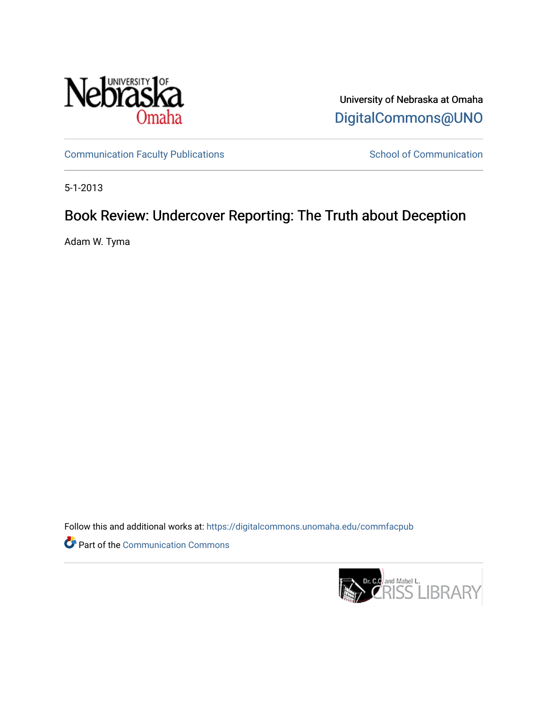

University of Nebraska at Omaha [DigitalCommons@UNO](https://digitalcommons.unomaha.edu/) 

[Communication Faculty Publications](https://digitalcommons.unomaha.edu/commfacpub) School of Communication

5-1-2013

## Book Review: Undercover Reporting: The Truth about Deception

Adam W. Tyma

Follow this and additional works at: [https://digitalcommons.unomaha.edu/commfacpub](https://digitalcommons.unomaha.edu/commfacpub?utm_source=digitalcommons.unomaha.edu%2Fcommfacpub%2F90&utm_medium=PDF&utm_campaign=PDFCoverPages)

Part of the [Communication Commons](http://network.bepress.com/hgg/discipline/325?utm_source=digitalcommons.unomaha.edu%2Fcommfacpub%2F90&utm_medium=PDF&utm_campaign=PDFCoverPages) 

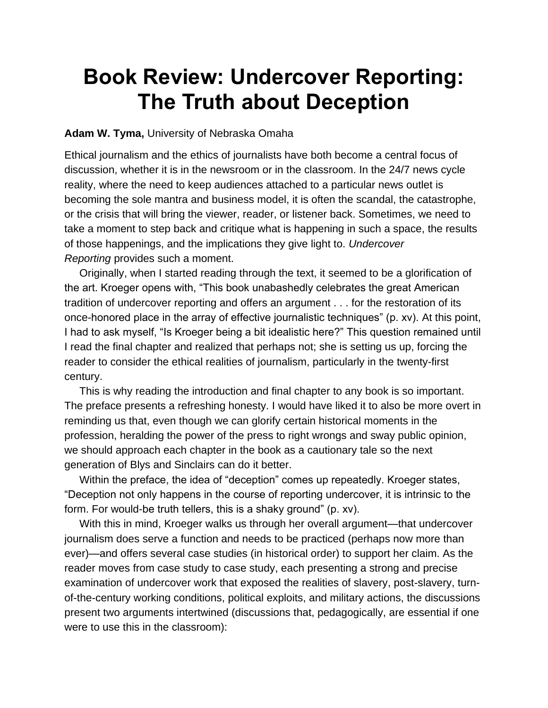## **Book Review: Undercover Reporting: The Truth about Deception**

## **Adam W. Tyma,** University of Nebraska Omaha

Ethical journalism and the ethics of journalists have both become a central focus of discussion, whether it is in the newsroom or in the classroom. In the 24/7 news cycle reality, where the need to keep audiences attached to a particular news outlet is becoming the sole mantra and business model, it is often the scandal, the catastrophe, or the crisis that will bring the viewer, reader, or listener back. Sometimes, we need to take a moment to step back and critique what is happening in such a space, the results of those happenings, and the implications they give light to. *Undercover Reporting* provides such a moment.

Originally, when I started reading through the text, it seemed to be a glorification of the art. Kroeger opens with, "This book unabashedly celebrates the great American tradition of undercover reporting and offers an argument . . . for the restoration of its once-honored place in the array of effective journalistic techniques" (p. xv). At this point, I had to ask myself, "Is Kroeger being a bit idealistic here?" This question remained until I read the final chapter and realized that perhaps not; she is setting us up, forcing the reader to consider the ethical realities of journalism, particularly in the twenty-first century.

This is why reading the introduction and final chapter to any book is so important. The preface presents a refreshing honesty. I would have liked it to also be more overt in reminding us that, even though we can glorify certain historical moments in the profession, heralding the power of the press to right wrongs and sway public opinion, we should approach each chapter in the book as a cautionary tale so the next generation of Blys and Sinclairs can do it better.

Within the preface, the idea of "deception" comes up repeatedly. Kroeger states, "Deception not only happens in the course of reporting undercover, it is intrinsic to the form. For would-be truth tellers, this is a shaky ground" (p. xv).

With this in mind, Kroeger walks us through her overall argument—that undercover journalism does serve a function and needs to be practiced (perhaps now more than ever)—and offers several case studies (in historical order) to support her claim. As the reader moves from case study to case study, each presenting a strong and precise examination of undercover work that exposed the realities of slavery, post-slavery, turnof-the-century working conditions, political exploits, and military actions, the discussions present two arguments intertwined (discussions that, pedagogically, are essential if one were to use this in the classroom):